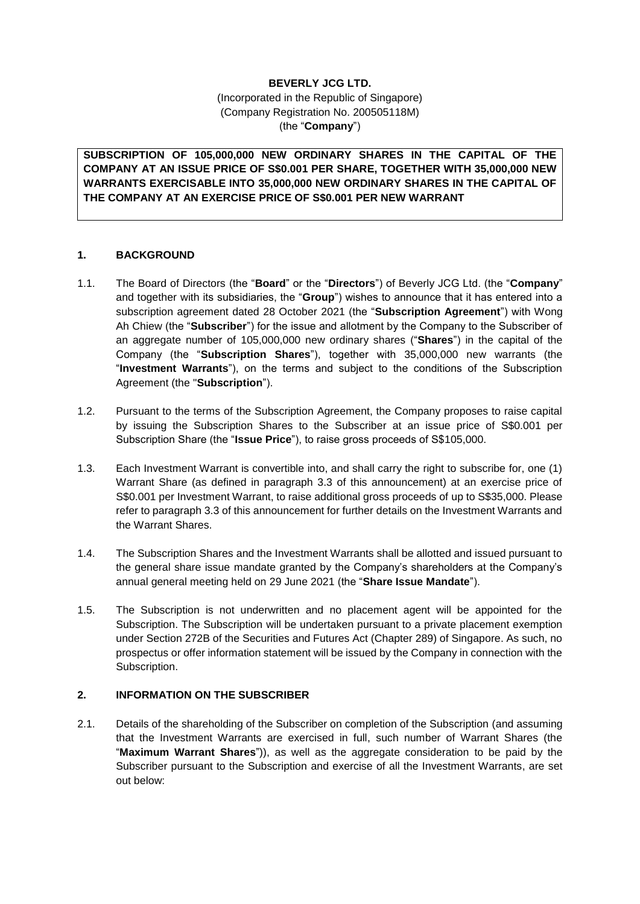# **BEVERLY JCG LTD.**

(Incorporated in the Republic of Singapore) (Company Registration No. 200505118M) (the "**Company**")

**SUBSCRIPTION OF 105,000,000 NEW ORDINARY SHARES IN THE CAPITAL OF THE COMPANY AT AN ISSUE PRICE OF S\$0.001 PER SHARE, TOGETHER WITH 35,000,000 NEW WARRANTS EXERCISABLE INTO 35,000,000 NEW ORDINARY SHARES IN THE CAPITAL OF THE COMPANY AT AN EXERCISE PRICE OF S\$0.001 PER NEW WARRANT** 

## **1. BACKGROUND**

- 1.1. The Board of Directors (the "**Board**" or the "**Directors**") of Beverly JCG Ltd. (the "**Company**" and together with its subsidiaries, the "**Group**") wishes to announce that it has entered into a subscription agreement dated 28 October 2021 (the "**Subscription Agreement**") with Wong Ah Chiew (the "**Subscriber**") for the issue and allotment by the Company to the Subscriber of an aggregate number of 105,000,000 new ordinary shares ("**Shares**") in the capital of the Company (the "**Subscription Shares**"), together with 35,000,000 new warrants (the "**Investment Warrants**"), on the terms and subject to the conditions of the Subscription Agreement (the "**Subscription**").
- 1.2. Pursuant to the terms of the Subscription Agreement, the Company proposes to raise capital by issuing the Subscription Shares to the Subscriber at an issue price of S\$0.001 per Subscription Share (the "**Issue Price**"), to raise gross proceeds of S\$105,000.
- 1.3. Each Investment Warrant is convertible into, and shall carry the right to subscribe for, one (1) Warrant Share (as defined in paragraph 3.3 of this announcement) at an exercise price of S\$0.001 per Investment Warrant, to raise additional gross proceeds of up to S\$35,000. Please refer to paragraph 3.3 of this announcement for further details on the Investment Warrants and the Warrant Shares.
- 1.4. The Subscription Shares and the Investment Warrants shall be allotted and issued pursuant to the general share issue mandate granted by the Company's shareholders at the Company's annual general meeting held on 29 June 2021 (the "**Share Issue Mandate**").
- 1.5. The Subscription is not underwritten and no placement agent will be appointed for the Subscription. The Subscription will be undertaken pursuant to a private placement exemption under Section 272B of the Securities and Futures Act (Chapter 289) of Singapore. As such, no prospectus or offer information statement will be issued by the Company in connection with the Subscription.

# **2. INFORMATION ON THE SUBSCRIBER**

2.1. Details of the shareholding of the Subscriber on completion of the Subscription (and assuming that the Investment Warrants are exercised in full, such number of Warrant Shares (the "**Maximum Warrant Shares**")), as well as the aggregate consideration to be paid by the Subscriber pursuant to the Subscription and exercise of all the Investment Warrants, are set out below: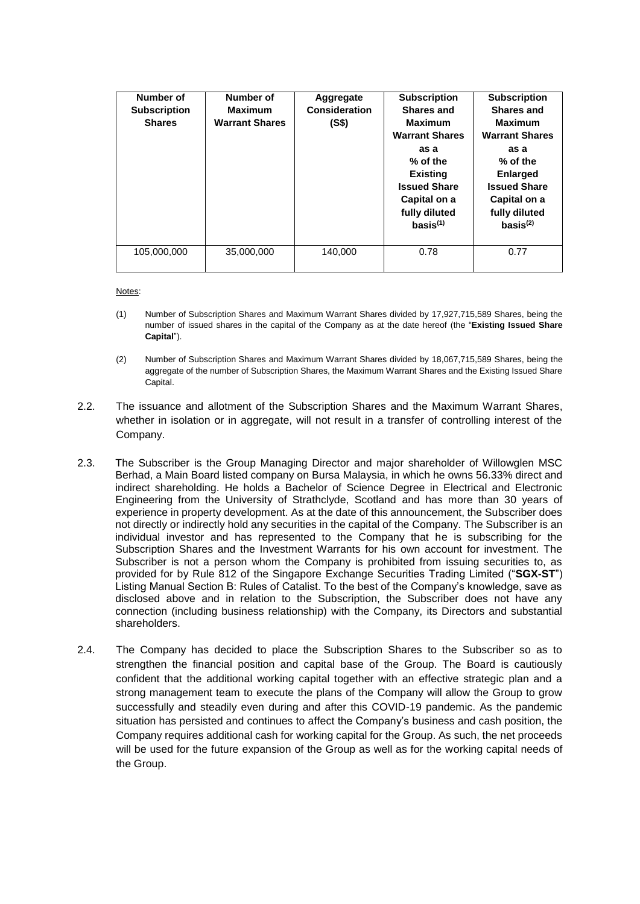| Number of<br><b>Subscription</b><br><b>Shares</b> | Number of<br><b>Maximum</b><br><b>Warrant Shares</b> | <b>Aggregate</b><br><b>Consideration</b><br>(S\$) | <b>Subscription</b><br><b>Shares and</b><br><b>Maximum</b><br><b>Warrant Shares</b><br>as a<br>$%$ of the<br><b>Existing</b><br><b>Issued Share</b><br>Capital on a<br>fully diluted<br>basis <sup>(1)</sup> | <b>Subscription</b><br><b>Shares and</b><br><b>Maximum</b><br><b>Warrant Shares</b><br>as a<br>$%$ of the<br><b>Enlarged</b><br><b>Issued Share</b><br>Capital on a<br>fully diluted<br>basis <sup>(2)</sup> |
|---------------------------------------------------|------------------------------------------------------|---------------------------------------------------|--------------------------------------------------------------------------------------------------------------------------------------------------------------------------------------------------------------|--------------------------------------------------------------------------------------------------------------------------------------------------------------------------------------------------------------|
| 105,000,000                                       | 35,000,000                                           | 140.000                                           | 0.78                                                                                                                                                                                                         | 0.77                                                                                                                                                                                                         |

Notes:

- (1) Number of Subscription Shares and Maximum Warrant Shares divided by 17,927,715,589 Shares, being the number of issued shares in the capital of the Company as at the date hereof (the "**Existing Issued Share Capital**").
- (2) Number of Subscription Shares and Maximum Warrant Shares divided by 18,067,715,589 Shares, being the aggregate of the number of Subscription Shares, the Maximum Warrant Shares and the Existing Issued Share Capital.
- 2.2. The issuance and allotment of the Subscription Shares and the Maximum Warrant Shares, whether in isolation or in aggregate, will not result in a transfer of controlling interest of the Company.
- 2.3. The Subscriber is the Group Managing Director and major shareholder of Willowglen MSC Berhad, a Main Board listed company on Bursa Malaysia, in which he owns 56.33% direct and indirect shareholding. He holds a Bachelor of Science Degree in Electrical and Electronic Engineering from the University of Strathclyde, Scotland and has more than 30 years of experience in property development. As at the date of this announcement, the Subscriber does not directly or indirectly hold any securities in the capital of the Company. The Subscriber is an individual investor and has represented to the Company that he is subscribing for the Subscription Shares and the Investment Warrants for his own account for investment. The Subscriber is not a person whom the Company is prohibited from issuing securities to, as provided for by Rule 812 of the Singapore Exchange Securities Trading Limited ("**SGX-ST**") Listing Manual Section B: Rules of Catalist. To the best of the Company's knowledge, save as disclosed above and in relation to the Subscription, the Subscriber does not have any connection (including business relationship) with the Company, its Directors and substantial shareholders.
- 2.4. The Company has decided to place the Subscription Shares to the Subscriber so as to strengthen the financial position and capital base of the Group. The Board is cautiously confident that the additional working capital together with an effective strategic plan and a strong management team to execute the plans of the Company will allow the Group to grow successfully and steadily even during and after this COVID-19 pandemic. As the pandemic situation has persisted and continues to affect the Company's business and cash position, the Company requires additional cash for working capital for the Group. As such, the net proceeds will be used for the future expansion of the Group as well as for the working capital needs of the Group.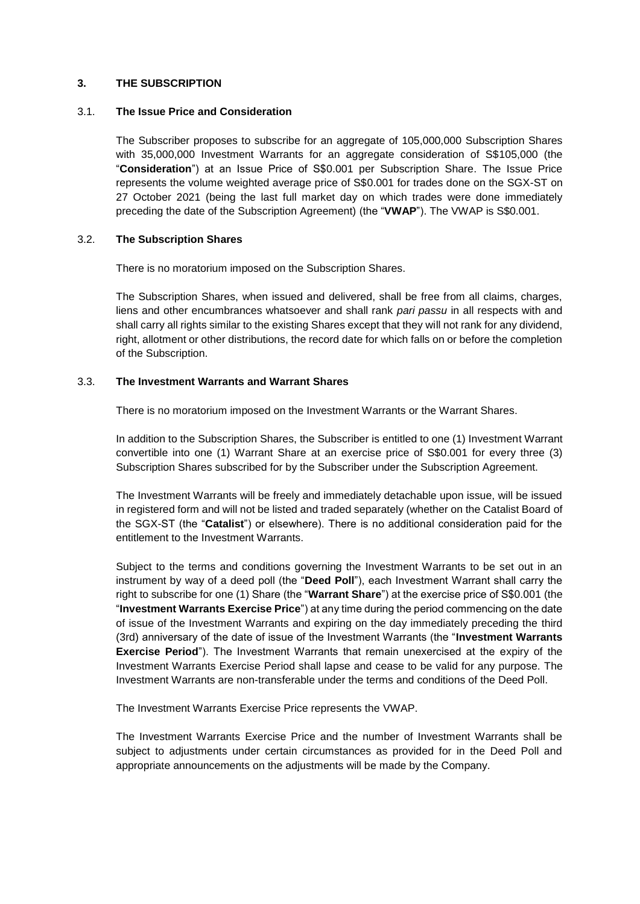## **3. THE SUBSCRIPTION**

### 3.1. **The Issue Price and Consideration**

The Subscriber proposes to subscribe for an aggregate of 105,000,000 Subscription Shares with 35,000,000 Investment Warrants for an aggregate consideration of S\$105,000 (the "**Consideration**") at an Issue Price of S\$0.001 per Subscription Share. The Issue Price represents the volume weighted average price of S\$0.001 for trades done on the SGX-ST on 27 October 2021 (being the last full market day on which trades were done immediately preceding the date of the Subscription Agreement) (the "**VWAP**"). The VWAP is S\$0.001.

## 3.2. **The Subscription Shares**

There is no moratorium imposed on the Subscription Shares.

The Subscription Shares, when issued and delivered, shall be free from all claims, charges, liens and other encumbrances whatsoever and shall rank *pari passu* in all respects with and shall carry all rights similar to the existing Shares except that they will not rank for any dividend, right, allotment or other distributions, the record date for which falls on or before the completion of the Subscription.

## 3.3. **The Investment Warrants and Warrant Shares**

There is no moratorium imposed on the Investment Warrants or the Warrant Shares.

In addition to the Subscription Shares, the Subscriber is entitled to one (1) Investment Warrant convertible into one (1) Warrant Share at an exercise price of S\$0.001 for every three (3) Subscription Shares subscribed for by the Subscriber under the Subscription Agreement.

The Investment Warrants will be freely and immediately detachable upon issue, will be issued in registered form and will not be listed and traded separately (whether on the Catalist Board of the SGX-ST (the "**Catalist**") or elsewhere). There is no additional consideration paid for the entitlement to the Investment Warrants.

Subject to the terms and conditions governing the Investment Warrants to be set out in an instrument by way of a deed poll (the "**Deed Poll**"), each Investment Warrant shall carry the right to subscribe for one (1) Share (the "**Warrant Share**") at the exercise price of S\$0.001 (the "**Investment Warrants Exercise Price**") at any time during the period commencing on the date of issue of the Investment Warrants and expiring on the day immediately preceding the third (3rd) anniversary of the date of issue of the Investment Warrants (the "**Investment Warrants Exercise Period**"). The Investment Warrants that remain unexercised at the expiry of the Investment Warrants Exercise Period shall lapse and cease to be valid for any purpose. The Investment Warrants are non-transferable under the terms and conditions of the Deed Poll.

The Investment Warrants Exercise Price represents the VWAP.

The Investment Warrants Exercise Price and the number of Investment Warrants shall be subject to adjustments under certain circumstances as provided for in the Deed Poll and appropriate announcements on the adjustments will be made by the Company.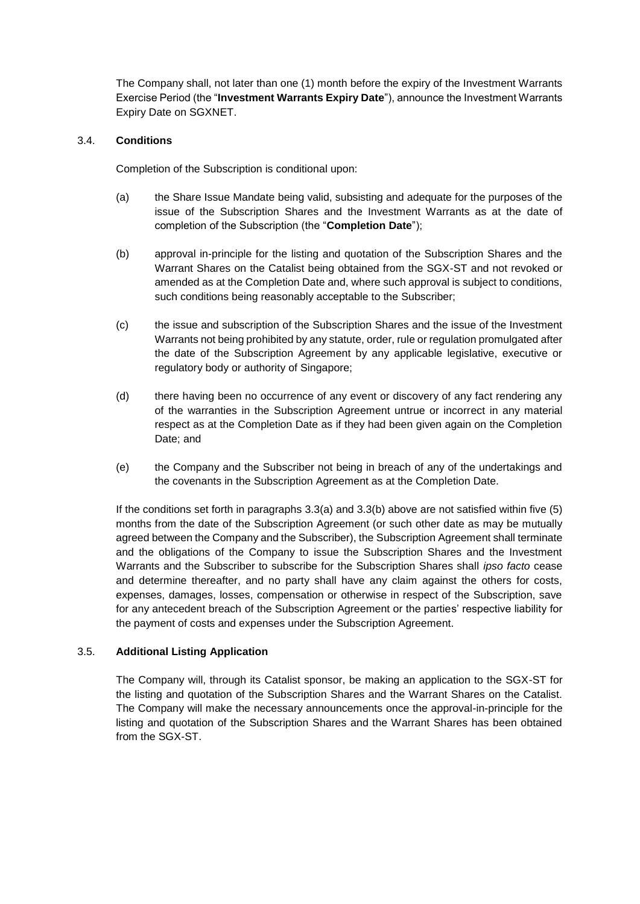The Company shall, not later than one (1) month before the expiry of the Investment Warrants Exercise Period (the "**Investment Warrants Expiry Date**"), announce the Investment Warrants Expiry Date on SGXNET.

## 3.4. **Conditions**

Completion of the Subscription is conditional upon:

- (a) the Share Issue Mandate being valid, subsisting and adequate for the purposes of the issue of the Subscription Shares and the Investment Warrants as at the date of completion of the Subscription (the "**Completion Date**");
- (b) approval in-principle for the listing and quotation of the Subscription Shares and the Warrant Shares on the Catalist being obtained from the SGX-ST and not revoked or amended as at the Completion Date and, where such approval is subject to conditions, such conditions being reasonably acceptable to the Subscriber;
- (c) the issue and subscription of the Subscription Shares and the issue of the Investment Warrants not being prohibited by any statute, order, rule or regulation promulgated after the date of the Subscription Agreement by any applicable legislative, executive or regulatory body or authority of Singapore;
- (d) there having been no occurrence of any event or discovery of any fact rendering any of the warranties in the Subscription Agreement untrue or incorrect in any material respect as at the Completion Date as if they had been given again on the Completion Date; and
- (e) the Company and the Subscriber not being in breach of any of the undertakings and the covenants in the Subscription Agreement as at the Completion Date.

If the conditions set forth in paragraphs 3.3(a) and 3.3(b) above are not satisfied within five (5) months from the date of the Subscription Agreement (or such other date as may be mutually agreed between the Company and the Subscriber), the Subscription Agreement shall terminate and the obligations of the Company to issue the Subscription Shares and the Investment Warrants and the Subscriber to subscribe for the Subscription Shares shall *ipso facto* cease and determine thereafter, and no party shall have any claim against the others for costs, expenses, damages, losses, compensation or otherwise in respect of the Subscription, save for any antecedent breach of the Subscription Agreement or the parties' respective liability for the payment of costs and expenses under the Subscription Agreement.

## 3.5. **Additional Listing Application**

The Company will, through its Catalist sponsor, be making an application to the SGX-ST for the listing and quotation of the Subscription Shares and the Warrant Shares on the Catalist. The Company will make the necessary announcements once the approval-in-principle for the listing and quotation of the Subscription Shares and the Warrant Shares has been obtained from the SGX-ST.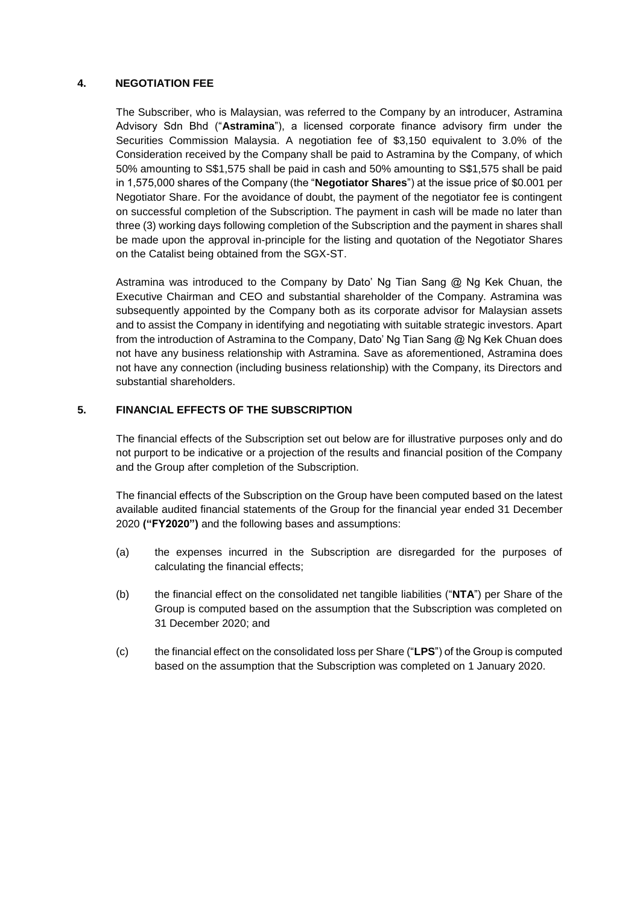## **4. NEGOTIATION FEE**

The Subscriber, who is Malaysian, was referred to the Company by an introducer, Astramina Advisory Sdn Bhd ("**Astramina**"), a licensed corporate finance advisory firm under the Securities Commission Malaysia. A negotiation fee of \$3,150 equivalent to 3.0% of the Consideration received by the Company shall be paid to Astramina by the Company, of which 50% amounting to S\$1,575 shall be paid in cash and 50% amounting to S\$1,575 shall be paid in 1,575,000 shares of the Company (the "**Negotiator Shares**") at the issue price of \$0.001 per Negotiator Share. For the avoidance of doubt, the payment of the negotiator fee is contingent on successful completion of the Subscription. The payment in cash will be made no later than three (3) working days following completion of the Subscription and the payment in shares shall be made upon the approval in-principle for the listing and quotation of the Negotiator Shares on the Catalist being obtained from the SGX-ST.

Astramina was introduced to the Company by Dato' Ng Tian Sang @ Ng Kek Chuan, the Executive Chairman and CEO and substantial shareholder of the Company. Astramina was subsequently appointed by the Company both as its corporate advisor for Malaysian assets and to assist the Company in identifying and negotiating with suitable strategic investors. Apart from the introduction of Astramina to the Company, Dato' Ng Tian Sang @ Ng Kek Chuan does not have any business relationship with Astramina. Save as aforementioned, Astramina does not have any connection (including business relationship) with the Company, its Directors and substantial shareholders.

## **5. FINANCIAL EFFECTS OF THE SUBSCRIPTION**

The financial effects of the Subscription set out below are for illustrative purposes only and do not purport to be indicative or a projection of the results and financial position of the Company and the Group after completion of the Subscription.

The financial effects of the Subscription on the Group have been computed based on the latest available audited financial statements of the Group for the financial year ended 31 December 2020 **("FY2020")** and the following bases and assumptions:

- (a) the expenses incurred in the Subscription are disregarded for the purposes of calculating the financial effects;
- (b) the financial effect on the consolidated net tangible liabilities ("**NTA**") per Share of the Group is computed based on the assumption that the Subscription was completed on 31 December 2020; and
- (c) the financial effect on the consolidated loss per Share ("**LPS**") of the Group is computed based on the assumption that the Subscription was completed on 1 January 2020.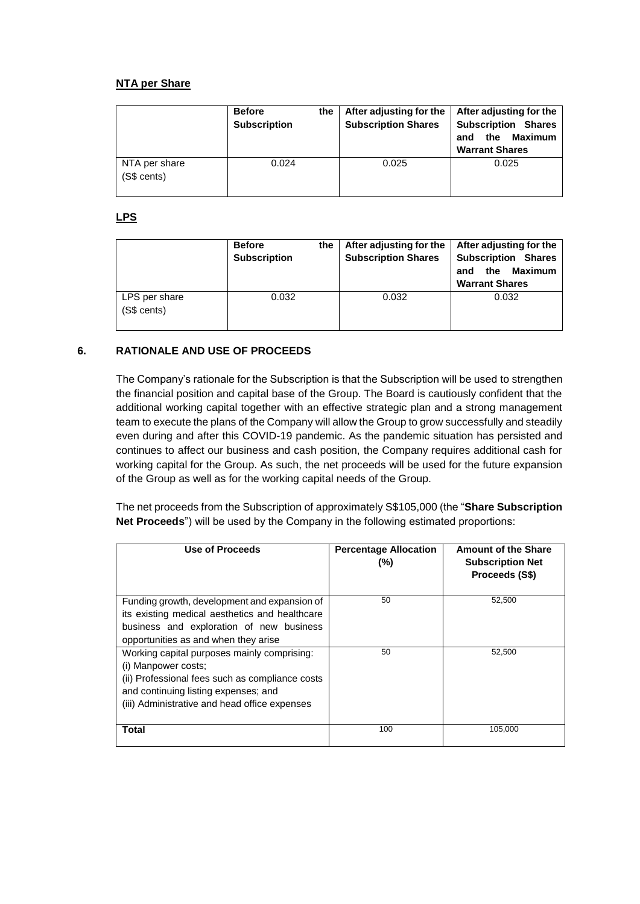# **NTA per Share**

|                              | <b>Before</b><br><b>Subscription</b> | the | After adjusting for the<br><b>Subscription Shares</b> | After adjusting for the<br><b>Subscription Shares</b><br><b>Maximum</b><br>the<br>and<br><b>Warrant Shares</b> |
|------------------------------|--------------------------------------|-----|-------------------------------------------------------|----------------------------------------------------------------------------------------------------------------|
| NTA per share<br>(S\$ cents) | 0.024                                |     | 0.025                                                 | 0.025                                                                                                          |

## **LPS**

|                              | <b>Before</b><br><b>Subscription</b> | the | After adjusting for the<br><b>Subscription Shares</b> | After adjusting for the<br><b>Subscription Shares</b><br><b>Maximum</b><br>the<br>and<br><b>Warrant Shares</b> |
|------------------------------|--------------------------------------|-----|-------------------------------------------------------|----------------------------------------------------------------------------------------------------------------|
| LPS per share<br>(S\$ cents) | 0.032                                |     | 0.032                                                 | 0.032                                                                                                          |

## **6. RATIONALE AND USE OF PROCEEDS**

The Company's rationale for the Subscription is that the Subscription will be used to strengthen the financial position and capital base of the Group. The Board is cautiously confident that the additional working capital together with an effective strategic plan and a strong management team to execute the plans of the Company will allow the Group to grow successfully and steadily even during and after this COVID-19 pandemic. As the pandemic situation has persisted and continues to affect our business and cash position, the Company requires additional cash for working capital for the Group. As such, the net proceeds will be used for the future expansion of the Group as well as for the working capital needs of the Group.

The net proceeds from the Subscription of approximately S\$105,000 (the "**Share Subscription Net Proceeds**") will be used by the Company in the following estimated proportions:

| Use of Proceeds                                                                                                                                                                                                | <b>Percentage Allocation</b><br>(%) | <b>Amount of the Share</b><br><b>Subscription Net</b><br>Proceeds (S\$) |
|----------------------------------------------------------------------------------------------------------------------------------------------------------------------------------------------------------------|-------------------------------------|-------------------------------------------------------------------------|
| Funding growth, development and expansion of<br>its existing medical aesthetics and healthcare<br>business and exploration of new business<br>opportunities as and when they arise                             | 50                                  | 52,500                                                                  |
| Working capital purposes mainly comprising:<br>(i) Manpower costs;<br>(ii) Professional fees such as compliance costs<br>and continuing listing expenses; and<br>(iii) Administrative and head office expenses | 50                                  | 52.500                                                                  |
| Total                                                                                                                                                                                                          | 100                                 | 105,000                                                                 |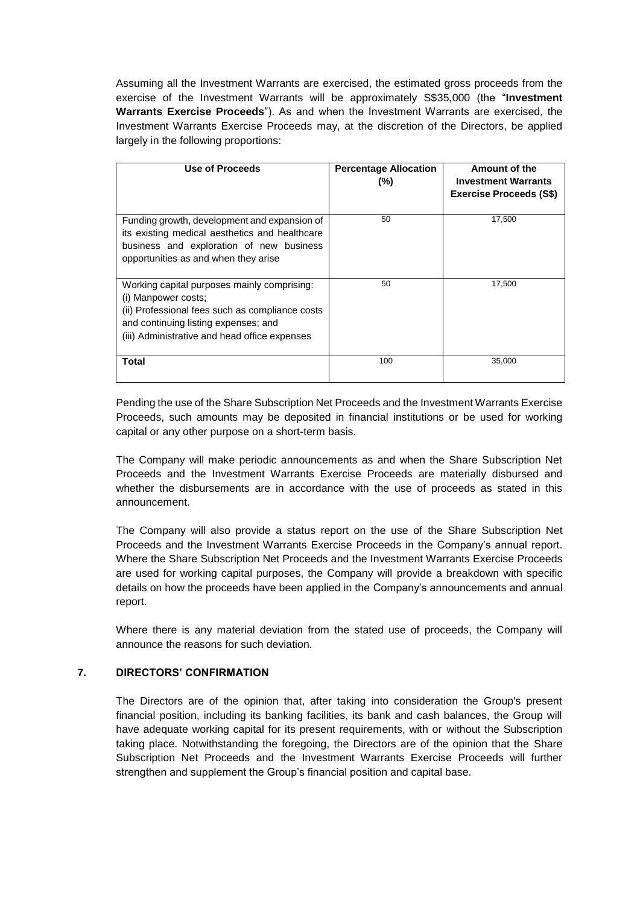Assuming all the Investment Warrants are exercised, the estimated gross proceeds from the exercise of the Investment Warrants will be approximately S\$35,000 (the "**Investment Warrants Exercise Proceeds**"). As and when the Investment Warrants are exercised, the Investment Warrants Exercise Proceeds may, at the discretion of the Directors, be applied largely in the following proportions:

| Use of Proceeds                                                                                                                                                                                                | <b>Percentage Allocation</b><br>(%) | Amount of the<br><b>Investment Warrants</b><br><b>Exercise Proceeds (S\$)</b> |
|----------------------------------------------------------------------------------------------------------------------------------------------------------------------------------------------------------------|-------------------------------------|-------------------------------------------------------------------------------|
| Funding growth, development and expansion of<br>its existing medical aesthetics and healthcare<br>business and exploration of new business<br>opportunities as and when they arise                             | 50                                  | 17,500                                                                        |
| Working capital purposes mainly comprising:<br>(i) Manpower costs;<br>(ii) Professional fees such as compliance costs<br>and continuing listing expenses; and<br>(iii) Administrative and head office expenses | 50                                  | 17,500                                                                        |
| Total                                                                                                                                                                                                          | 100                                 | 35,000                                                                        |

Pending the use of the Share Subscription Net Proceeds and the Investment Warrants Exercise Proceeds, such amounts may be deposited in financial institutions or be used for working capital or any other purpose on a short-term basis.

The Company will make periodic announcements as and when the Share Subscription Net Proceeds and the Investment Warrants Exercise Proceeds are materially disbursed and whether the disbursements are in accordance with the use of proceeds as stated in this announcement.

The Company will also provide a status report on the use of the Share Subscription Net Proceeds and the Investment Warrants Exercise Proceeds in the Company's annual report. Where the Share Subscription Net Proceeds and the Investment Warrants Exercise Proceeds are used for working capital purposes, the Company will provide a breakdown with specific details on how the proceeds have been applied in the Company's announcements and annual report.

Where there is any material deviation from the stated use of proceeds, the Company will announce the reasons for such deviation.

## **7. DIRECTORS' CONFIRMATION**

The Directors are of the opinion that, after taking into consideration the Group's present financial position, including its banking facilities, its bank and cash balances, the Group will have adequate working capital for its present requirements, with or without the Subscription taking place. Notwithstanding the foregoing, the Directors are of the opinion that the Share Subscription Net Proceeds and the Investment Warrants Exercise Proceeds will further strengthen and supplement the Group's financial position and capital base.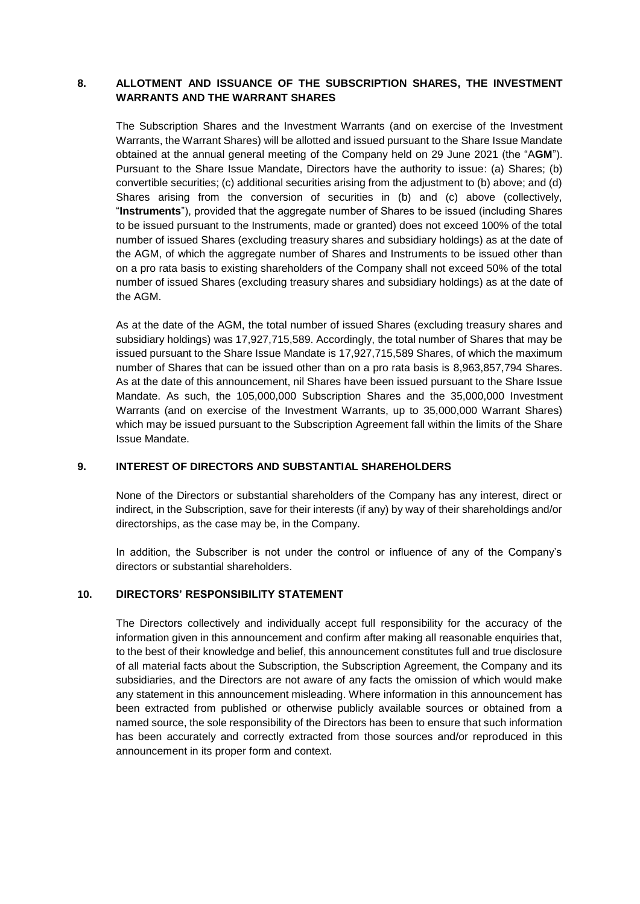# **8. ALLOTMENT AND ISSUANCE OF THE SUBSCRIPTION SHARES, THE INVESTMENT WARRANTS AND THE WARRANT SHARES**

The Subscription Shares and the Investment Warrants (and on exercise of the Investment Warrants, the Warrant Shares) will be allotted and issued pursuant to the Share Issue Mandate obtained at the annual general meeting of the Company held on 29 June 2021 (the "A**GM**"). Pursuant to the Share Issue Mandate, Directors have the authority to issue: (a) Shares; (b) convertible securities; (c) additional securities arising from the adjustment to (b) above; and (d) Shares arising from the conversion of securities in (b) and (c) above (collectively, "**Instruments**"), provided that the aggregate number of Shares to be issued (including Shares to be issued pursuant to the Instruments, made or granted) does not exceed 100% of the total number of issued Shares (excluding treasury shares and subsidiary holdings) as at the date of the AGM, of which the aggregate number of Shares and Instruments to be issued other than on a pro rata basis to existing shareholders of the Company shall not exceed 50% of the total number of issued Shares (excluding treasury shares and subsidiary holdings) as at the date of the AGM.

As at the date of the AGM, the total number of issued Shares (excluding treasury shares and subsidiary holdings) was 17,927,715,589. Accordingly, the total number of Shares that may be issued pursuant to the Share Issue Mandate is 17,927,715,589 Shares, of which the maximum number of Shares that can be issued other than on a pro rata basis is 8,963,857,794 Shares. As at the date of this announcement, nil Shares have been issued pursuant to the Share Issue Mandate. As such, the 105,000,000 Subscription Shares and the 35,000,000 Investment Warrants (and on exercise of the Investment Warrants, up to 35,000,000 Warrant Shares) which may be issued pursuant to the Subscription Agreement fall within the limits of the Share Issue Mandate.

## **9. INTEREST OF DIRECTORS AND SUBSTANTIAL SHAREHOLDERS**

None of the Directors or substantial shareholders of the Company has any interest, direct or indirect, in the Subscription, save for their interests (if any) by way of their shareholdings and/or directorships, as the case may be, in the Company.

In addition, the Subscriber is not under the control or influence of any of the Company's directors or substantial shareholders.

## **10. DIRECTORS' RESPONSIBILITY STATEMENT**

The Directors collectively and individually accept full responsibility for the accuracy of the information given in this announcement and confirm after making all reasonable enquiries that, to the best of their knowledge and belief, this announcement constitutes full and true disclosure of all material facts about the Subscription, the Subscription Agreement, the Company and its subsidiaries, and the Directors are not aware of any facts the omission of which would make any statement in this announcement misleading. Where information in this announcement has been extracted from published or otherwise publicly available sources or obtained from a named source, the sole responsibility of the Directors has been to ensure that such information has been accurately and correctly extracted from those sources and/or reproduced in this announcement in its proper form and context.